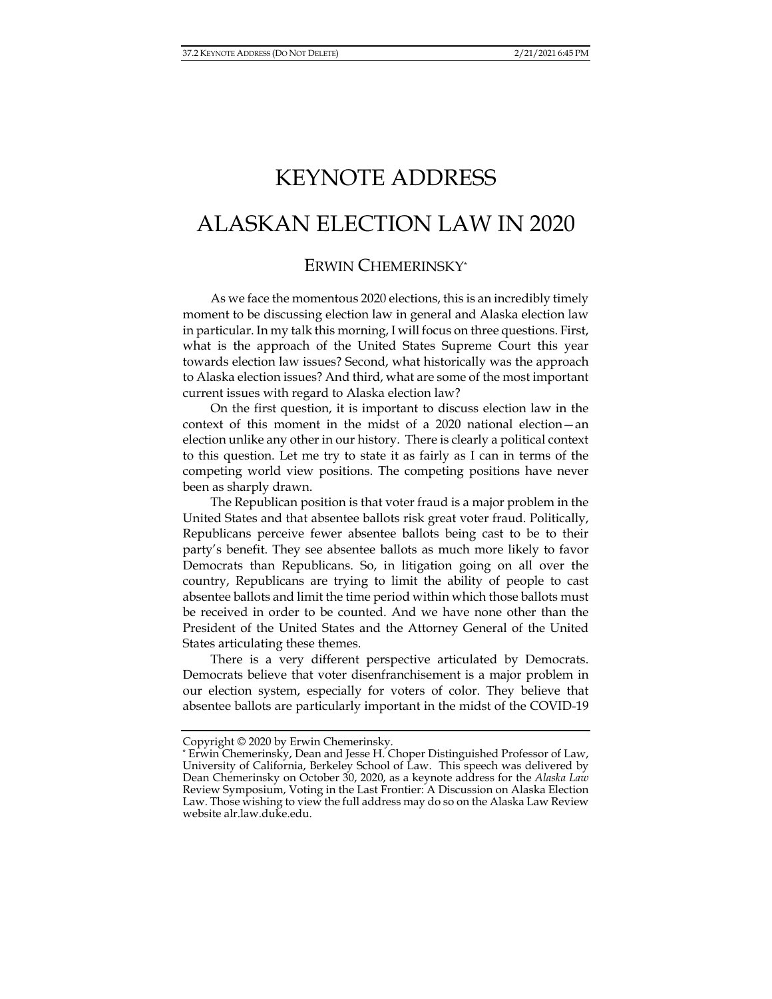# KEYNOTE ADDRESS ALASKAN ELECTION LAW IN 2020

## ERWIN CHEMERINSKY\*

As we face the momentous 2020 elections, this is an incredibly timely moment to be discussing election law in general and Alaska election law in particular. In my talk this morning, I will focus on three questions. First, what is the approach of the United States Supreme Court this year towards election law issues? Second, what historically was the approach to Alaska election issues? And third, what are some of the most important current issues with regard to Alaska election law?

On the first question, it is important to discuss election law in the context of this moment in the midst of a 2020 national election—an election unlike any other in our history. There is clearly a political context to this question. Let me try to state it as fairly as I can in terms of the competing world view positions. The competing positions have never been as sharply drawn.

The Republican position is that voter fraud is a major problem in the United States and that absentee ballots risk great voter fraud. Politically, Republicans perceive fewer absentee ballots being cast to be to their party's benefit. They see absentee ballots as much more likely to favor Democrats than Republicans. So, in litigation going on all over the country, Republicans are trying to limit the ability of people to cast absentee ballots and limit the time period within which those ballots must be received in order to be counted. And we have none other than the President of the United States and the Attorney General of the United States articulating these themes.

There is a very different perspective articulated by Democrats. Democrats believe that voter disenfranchisement is a major problem in our election system, especially for voters of color. They believe that absentee ballots are particularly important in the midst of the COVID-19

Copyright © 2020 by Erwin Chemerinsky.

<sup>\*</sup> Erwin Chemerinsky, Dean and Jesse H. Choper Distinguished Professor of Law, University of California, Berkeley School of Law. This speech was delivered by Dean Chemerinsky on October 30, 2020, as a keynote address for the *Alaska Law* Review Symposium, Voting in the Last Frontier: A Discussion on Alaska Election Law. Those wishing to view the full address may do so on the Alaska Law Review website alr.law.duke.edu.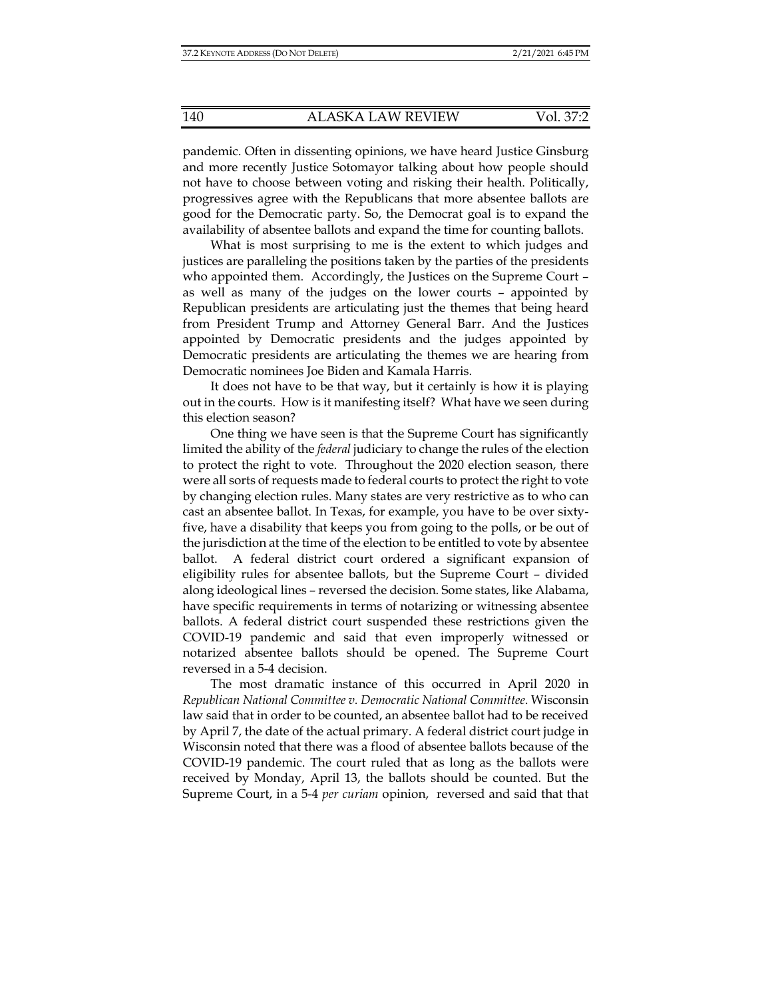pandemic. Often in dissenting opinions, we have heard Justice Ginsburg and more recently Justice Sotomayor talking about how people should not have to choose between voting and risking their health. Politically, progressives agree with the Republicans that more absentee ballots are good for the Democratic party. So, the Democrat goal is to expand the availability of absentee ballots and expand the time for counting ballots.

What is most surprising to me is the extent to which judges and justices are paralleling the positions taken by the parties of the presidents who appointed them. Accordingly, the Justices on the Supreme Court – as well as many of the judges on the lower courts – appointed by Republican presidents are articulating just the themes that being heard from President Trump and Attorney General Barr. And the Justices appointed by Democratic presidents and the judges appointed by Democratic presidents are articulating the themes we are hearing from Democratic nominees Joe Biden and Kamala Harris.

It does not have to be that way, but it certainly is how it is playing out in the courts. How is it manifesting itself? What have we seen during this election season?

One thing we have seen is that the Supreme Court has significantly limited the ability of the *federal* judiciary to change the rules of the election to protect the right to vote. Throughout the 2020 election season, there were all sorts of requests made to federal courts to protect the right to vote by changing election rules. Many states are very restrictive as to who can cast an absentee ballot. In Texas, for example, you have to be over sixtyfive, have a disability that keeps you from going to the polls, or be out of the jurisdiction at the time of the election to be entitled to vote by absentee ballot. A federal district court ordered a significant expansion of eligibility rules for absentee ballots, but the Supreme Court – divided along ideological lines – reversed the decision. Some states, like Alabama, have specific requirements in terms of notarizing or witnessing absentee ballots. A federal district court suspended these restrictions given the COVID-19 pandemic and said that even improperly witnessed or notarized absentee ballots should be opened. The Supreme Court reversed in a 5-4 decision.

The most dramatic instance of this occurred in April 2020 in *Republican National Committee v. Democratic National Committee*. Wisconsin law said that in order to be counted, an absentee ballot had to be received by April 7, the date of the actual primary. A federal district court judge in Wisconsin noted that there was a flood of absentee ballots because of the COVID-19 pandemic. The court ruled that as long as the ballots were received by Monday, April 13, the ballots should be counted. But the Supreme Court, in a 5-4 *per curiam* opinion, reversed and said that that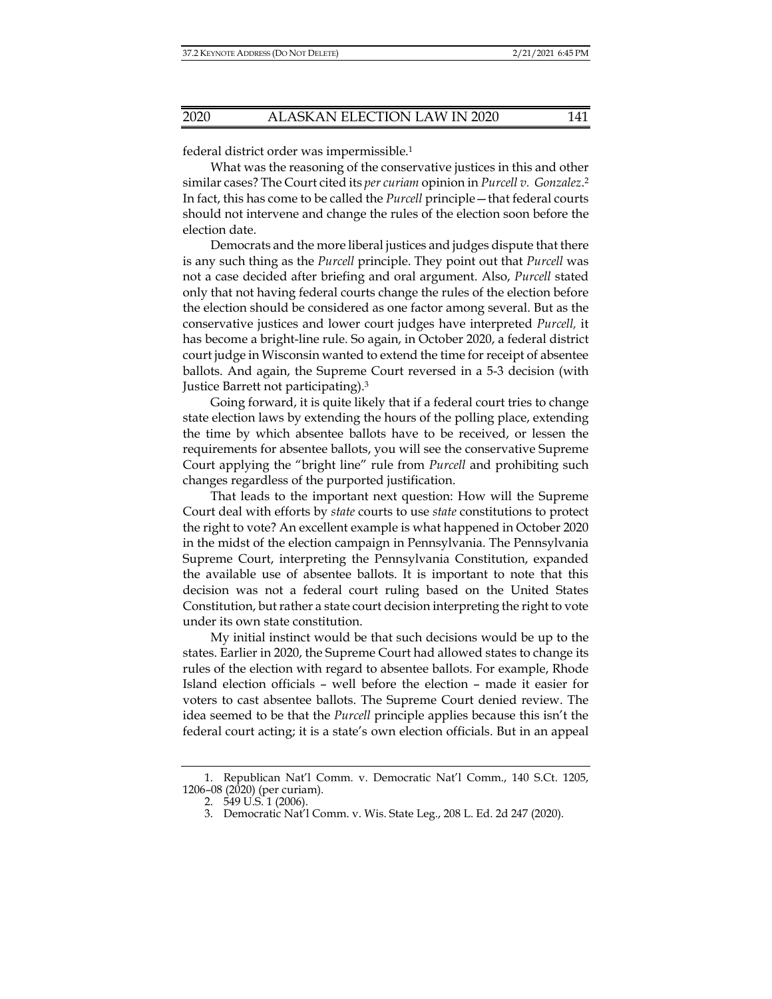federal district order was impermissible.1

What was the reasoning of the conservative justices in this and other similar cases? The Court cited its *per curiam* opinion in *Purcell v. Gonzalez*.2 In fact, this has come to be called the *Purcell* principle—that federal courts should not intervene and change the rules of the election soon before the election date.

Democrats and the more liberal justices and judges dispute that there is any such thing as the *Purcell* principle. They point out that *Purcell* was not a case decided after briefing and oral argument. Also, *Purcell* stated only that not having federal courts change the rules of the election before the election should be considered as one factor among several. But as the conservative justices and lower court judges have interpreted *Purcell,* it has become a bright-line rule. So again, in October 2020, a federal district court judge in Wisconsin wanted to extend the time for receipt of absentee ballots. And again, the Supreme Court reversed in a 5-3 decision (with Justice Barrett not participating).3

Going forward, it is quite likely that if a federal court tries to change state election laws by extending the hours of the polling place, extending the time by which absentee ballots have to be received, or lessen the requirements for absentee ballots, you will see the conservative Supreme Court applying the "bright line" rule from *Purcell* and prohibiting such changes regardless of the purported justification.

That leads to the important next question: How will the Supreme Court deal with efforts by *state* courts to use *state* constitutions to protect the right to vote? An excellent example is what happened in October 2020 in the midst of the election campaign in Pennsylvania. The Pennsylvania Supreme Court, interpreting the Pennsylvania Constitution, expanded the available use of absentee ballots. It is important to note that this decision was not a federal court ruling based on the United States Constitution, but rather a state court decision interpreting the right to vote under its own state constitution.

My initial instinct would be that such decisions would be up to the states. Earlier in 2020, the Supreme Court had allowed states to change its rules of the election with regard to absentee ballots. For example, Rhode Island election officials – well before the election – made it easier for voters to cast absentee ballots. The Supreme Court denied review. The idea seemed to be that the *Purcell* principle applies because this isn't the federal court acting; it is a state's own election officials. But in an appeal

 <sup>1.</sup> Republican Nat'l Comm. v. Democratic Nat'l Comm., 140 S.Ct. 1205, 1206–08 (2020) (per curiam).

 <sup>2. 549</sup> U.S. 1 (2006).

 <sup>3.</sup> Democratic Nat'l Comm. v. Wis. State Leg., 208 L. Ed. 2d 247 (2020).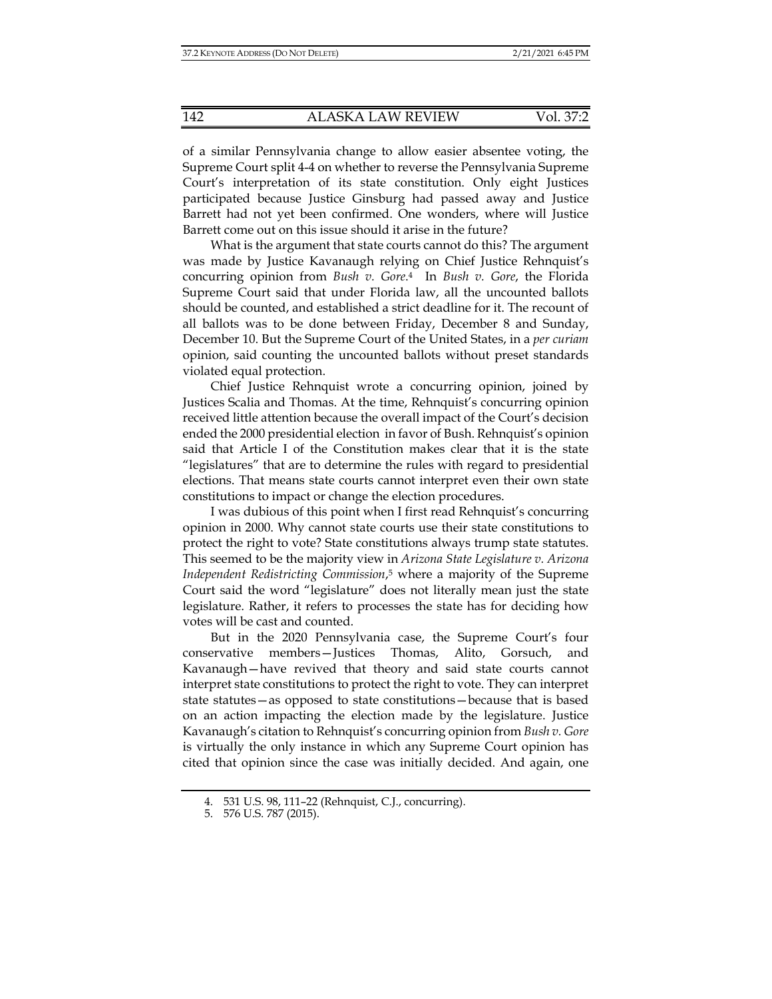of a similar Pennsylvania change to allow easier absentee voting, the Supreme Court split 4-4 on whether to reverse the Pennsylvania Supreme Court's interpretation of its state constitution. Only eight Justices participated because Justice Ginsburg had passed away and Justice Barrett had not yet been confirmed. One wonders, where will Justice Barrett come out on this issue should it arise in the future?

What is the argument that state courts cannot do this? The argument was made by Justice Kavanaugh relying on Chief Justice Rehnquist's concurring opinion from *Bush v. Gore*. 4 In *Bush v. Gore*, the Florida Supreme Court said that under Florida law, all the uncounted ballots should be counted, and established a strict deadline for it. The recount of all ballots was to be done between Friday, December 8 and Sunday, December 10. But the Supreme Court of the United States, in a *per curiam* opinion, said counting the uncounted ballots without preset standards violated equal protection.

Chief Justice Rehnquist wrote a concurring opinion, joined by Justices Scalia and Thomas. At the time, Rehnquist's concurring opinion received little attention because the overall impact of the Court's decision ended the 2000 presidential election in favor of Bush. Rehnquist's opinion said that Article I of the Constitution makes clear that it is the state "legislatures" that are to determine the rules with regard to presidential elections. That means state courts cannot interpret even their own state constitutions to impact or change the election procedures.

I was dubious of this point when I first read Rehnquist's concurring opinion in 2000. Why cannot state courts use their state constitutions to protect the right to vote? State constitutions always trump state statutes. This seemed to be the majority view in *Arizona State Legislature v. Arizona Independent Redistricting Commission*, 5 where a majority of the Supreme Court said the word "legislature" does not literally mean just the state legislature. Rather, it refers to processes the state has for deciding how votes will be cast and counted.

But in the 2020 Pennsylvania case, the Supreme Court's four conservative members—Justices Thomas, Alito, Gorsuch, and Kavanaugh—have revived that theory and said state courts cannot interpret state constitutions to protect the right to vote. They can interpret state statutes—as opposed to state constitutions—because that is based on an action impacting the election made by the legislature. Justice Kavanaugh's citation to Rehnquist's concurring opinion from *Bush v. Gore* is virtually the only instance in which any Supreme Court opinion has cited that opinion since the case was initially decided. And again, one

 <sup>4. 531</sup> U.S. 98, 111–22 (Rehnquist, C.J., concurring).

 <sup>5. 576</sup> U.S. 787 (2015).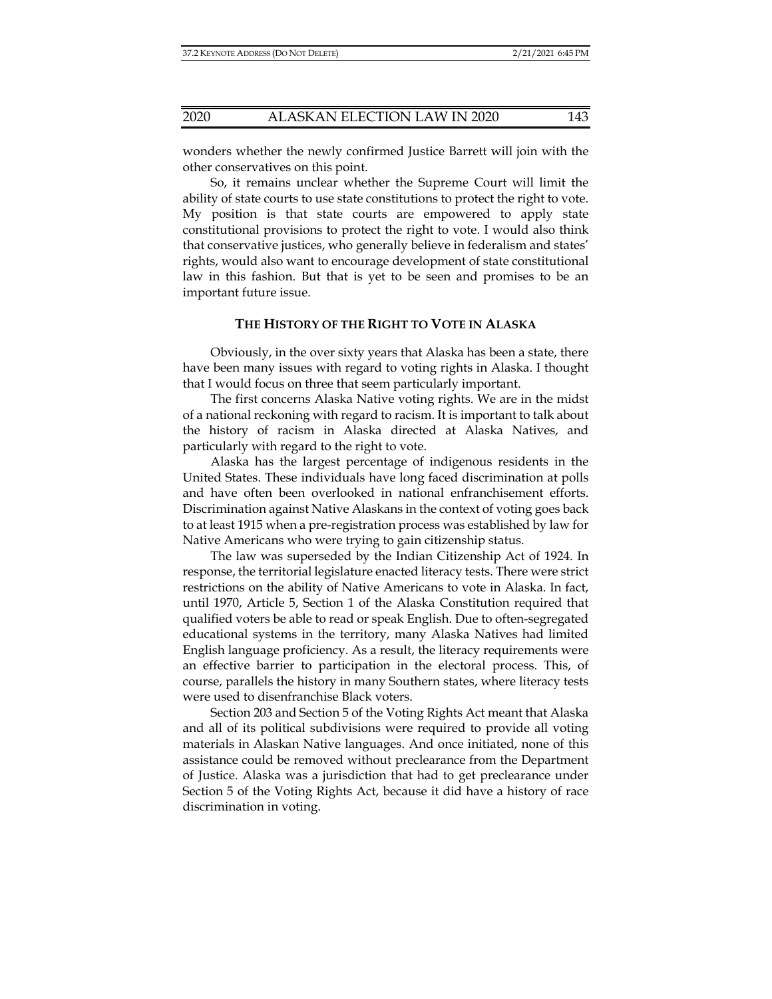wonders whether the newly confirmed Justice Barrett will join with the other conservatives on this point.

So, it remains unclear whether the Supreme Court will limit the ability of state courts to use state constitutions to protect the right to vote. My position is that state courts are empowered to apply state constitutional provisions to protect the right to vote. I would also think that conservative justices, who generally believe in federalism and states' rights, would also want to encourage development of state constitutional law in this fashion. But that is yet to be seen and promises to be an important future issue.

#### **THE HISTORY OF THE RIGHT TO VOTE IN ALASKA**

Obviously, in the over sixty years that Alaska has been a state, there have been many issues with regard to voting rights in Alaska. I thought that I would focus on three that seem particularly important.

The first concerns Alaska Native voting rights. We are in the midst of a national reckoning with regard to racism. It is important to talk about the history of racism in Alaska directed at Alaska Natives, and particularly with regard to the right to vote.

Alaska has the largest percentage of indigenous residents in the United States. These individuals have long faced discrimination at polls and have often been overlooked in national enfranchisement efforts. Discrimination against Native Alaskans in the context of voting goes back to at least 1915 when a pre-registration process was established by law for Native Americans who were trying to gain citizenship status.

The law was superseded by the Indian Citizenship Act of 1924. In response, the territorial legislature enacted literacy tests. There were strict restrictions on the ability of Native Americans to vote in Alaska. In fact, until 1970, Article 5, Section 1 of the Alaska Constitution required that qualified voters be able to read or speak English. Due to often-segregated educational systems in the territory, many Alaska Natives had limited English language proficiency. As a result, the literacy requirements were an effective barrier to participation in the electoral process. This, of course, parallels the history in many Southern states, where literacy tests were used to disenfranchise Black voters.

Section 203 and Section 5 of the Voting Rights Act meant that Alaska and all of its political subdivisions were required to provide all voting materials in Alaskan Native languages. And once initiated, none of this assistance could be removed without preclearance from the Department of Justice. Alaska was a jurisdiction that had to get preclearance under Section 5 of the Voting Rights Act, because it did have a history of race discrimination in voting.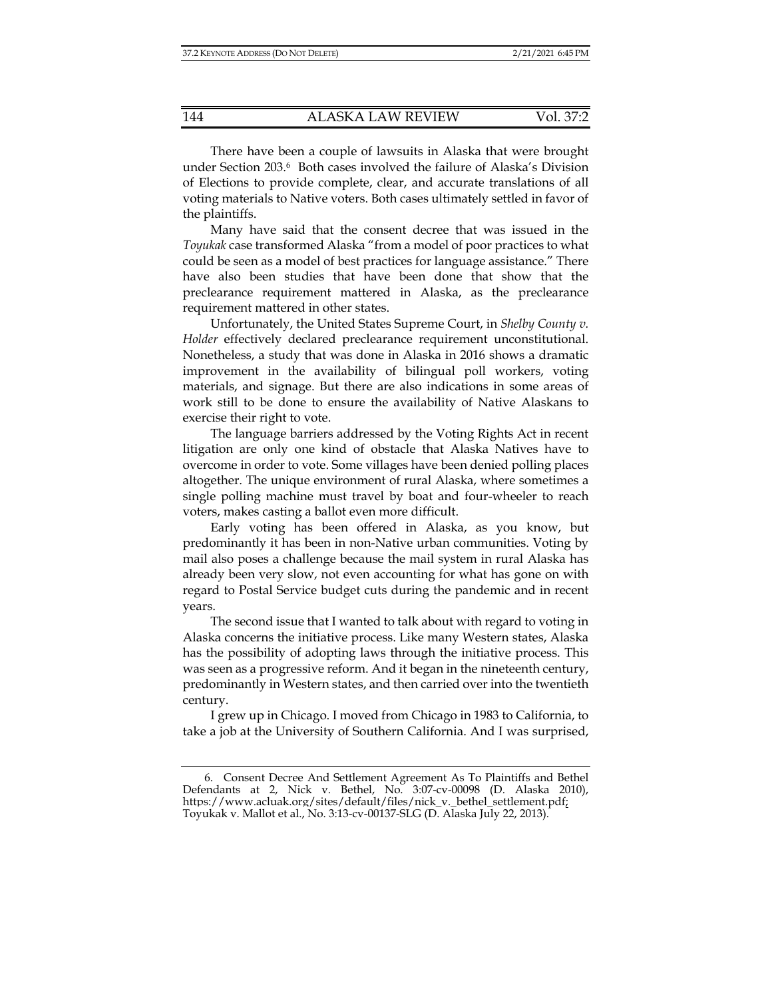There have been a couple of lawsuits in Alaska that were brought under Section 203.6 Both cases involved the failure of Alaska's Division of Elections to provide complete, clear, and accurate translations of all voting materials to Native voters. Both cases ultimately settled in favor of the plaintiffs.

Many have said that the consent decree that was issued in the *Toyukak* case transformed Alaska "from a model of poor practices to what could be seen as a model of best practices for language assistance." There have also been studies that have been done that show that the preclearance requirement mattered in Alaska, as the preclearance requirement mattered in other states.

Unfortunately, the United States Supreme Court, in *Shelby County v. Holder* effectively declared preclearance requirement unconstitutional. Nonetheless, a study that was done in Alaska in 2016 shows a dramatic improvement in the availability of bilingual poll workers, voting materials, and signage. But there are also indications in some areas of work still to be done to ensure the availability of Native Alaskans to exercise their right to vote.

The language barriers addressed by the Voting Rights Act in recent litigation are only one kind of obstacle that Alaska Natives have to overcome in order to vote. Some villages have been denied polling places altogether. The unique environment of rural Alaska, where sometimes a single polling machine must travel by boat and four-wheeler to reach voters, makes casting a ballot even more difficult.

Early voting has been offered in Alaska, as you know, but predominantly it has been in non-Native urban communities. Voting by mail also poses a challenge because the mail system in rural Alaska has already been very slow, not even accounting for what has gone on with regard to Postal Service budget cuts during the pandemic and in recent years.

The second issue that I wanted to talk about with regard to voting in Alaska concerns the initiative process. Like many Western states, Alaska has the possibility of adopting laws through the initiative process. This was seen as a progressive reform. And it began in the nineteenth century, predominantly in Western states, and then carried over into the twentieth century.

I grew up in Chicago. I moved from Chicago in 1983 to California, to take a job at the University of Southern California. And I was surprised,

 <sup>6.</sup> Consent Decree And Settlement Agreement As To Plaintiffs and Bethel Defendants at 2, Nick v. Bethel, No. 3:07-cv-00098 (D. Alaska 2010), https://www.acluak.org/sites/default/files/nick\_v.\_bethel\_settlement.pdf; Toyukak v. Mallot et al., No. 3:13-cv-00137-SLG (D. Alaska July 22, 2013).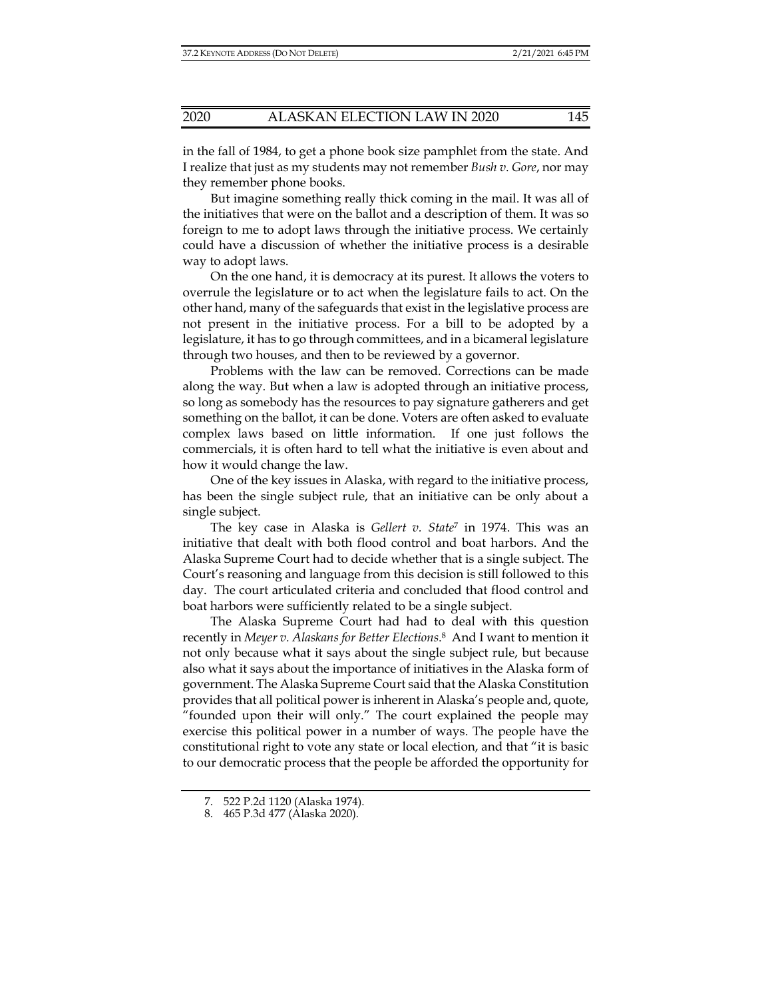in the fall of 1984, to get a phone book size pamphlet from the state. And I realize that just as my students may not remember *Bush v. Gore*, nor may they remember phone books.

But imagine something really thick coming in the mail. It was all of the initiatives that were on the ballot and a description of them. It was so foreign to me to adopt laws through the initiative process. We certainly could have a discussion of whether the initiative process is a desirable way to adopt laws.

On the one hand, it is democracy at its purest. It allows the voters to overrule the legislature or to act when the legislature fails to act. On the other hand, many of the safeguards that exist in the legislative process are not present in the initiative process. For a bill to be adopted by a legislature, it has to go through committees, and in a bicameral legislature through two houses, and then to be reviewed by a governor.

Problems with the law can be removed. Corrections can be made along the way. But when a law is adopted through an initiative process, so long as somebody has the resources to pay signature gatherers and get something on the ballot, it can be done. Voters are often asked to evaluate complex laws based on little information. If one just follows the commercials, it is often hard to tell what the initiative is even about and how it would change the law.

One of the key issues in Alaska, with regard to the initiative process, has been the single subject rule, that an initiative can be only about a single subject.

The key case in Alaska is *Gellert v. State*7 in 1974. This was an initiative that dealt with both flood control and boat harbors. And the Alaska Supreme Court had to decide whether that is a single subject. The Court's reasoning and language from this decision is still followed to this day. The court articulated criteria and concluded that flood control and boat harbors were sufficiently related to be a single subject.

The Alaska Supreme Court had had to deal with this question recently in *Meyer v. Alaskans for Better Elections*. 8 And I want to mention it not only because what it says about the single subject rule, but because also what it says about the importance of initiatives in the Alaska form of government. The Alaska Supreme Court said that the Alaska Constitution provides that all political power is inherent in Alaska's people and, quote, "founded upon their will only." The court explained the people may exercise this political power in a number of ways. The people have the constitutional right to vote any state or local election, and that "it is basic to our democratic process that the people be afforded the opportunity for

 <sup>7. 522</sup> P.2d 1120 (Alaska 1974).

 <sup>8. 465</sup> P.3d 477 (Alaska 2020).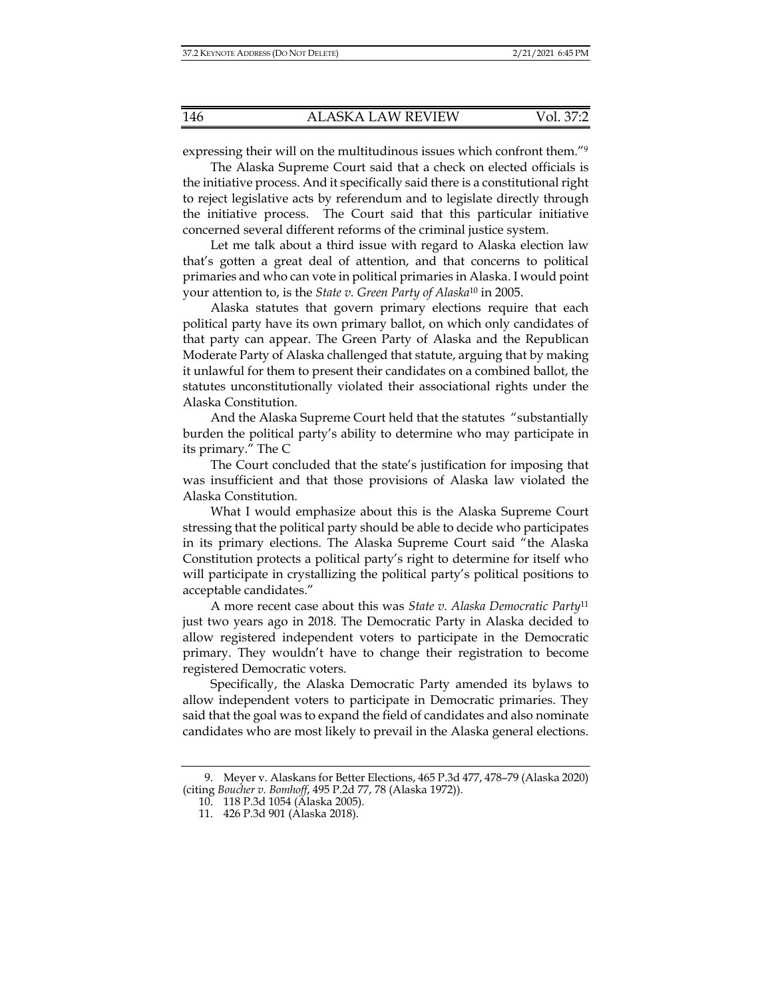expressing their will on the multitudinous issues which confront them."9

The Alaska Supreme Court said that a check on elected officials is the initiative process. And it specifically said there is a constitutional right to reject legislative acts by referendum and to legislate directly through the initiative process. The Court said that this particular initiative concerned several different reforms of the criminal justice system.

Let me talk about a third issue with regard to Alaska election law that's gotten a great deal of attention, and that concerns to political primaries and who can vote in political primaries in Alaska. I would point your attention to, is the *State v. Green Party of Alaska*10 in 2005.

Alaska statutes that govern primary elections require that each political party have its own primary ballot, on which only candidates of that party can appear. The Green Party of Alaska and the Republican Moderate Party of Alaska challenged that statute, arguing that by making it unlawful for them to present their candidates on a combined ballot, the statutes unconstitutionally violated their associational rights under the Alaska Constitution.

And the Alaska Supreme Court held that the statutes "substantially burden the political party's ability to determine who may participate in its primary." The C

The Court concluded that the state's justification for imposing that was insufficient and that those provisions of Alaska law violated the Alaska Constitution.

What I would emphasize about this is the Alaska Supreme Court stressing that the political party should be able to decide who participates in its primary elections. The Alaska Supreme Court said "the Alaska Constitution protects a political party's right to determine for itself who will participate in crystallizing the political party's political positions to acceptable candidates."

A more recent case about this was *State v. Alaska Democratic Party*<sup>11</sup> just two years ago in 2018. The Democratic Party in Alaska decided to allow registered independent voters to participate in the Democratic primary. They wouldn't have to change their registration to become registered Democratic voters.

Specifically, the Alaska Democratic Party amended its bylaws to allow independent voters to participate in Democratic primaries. They said that the goal was to expand the field of candidates and also nominate candidates who are most likely to prevail in the Alaska general elections.

 <sup>9.</sup> Meyer v. Alaskans for Better Elections, 465 P.3d 477, 478–79 (Alaska 2020) (citing *Boucher v. Bomhoff*, 495 P.2d 77, 78 (Alaska 1972)).

 <sup>10. 118</sup> P.3d 1054 (Alaska 2005).

 <sup>11. 426</sup> P.3d 901 (Alaska 2018).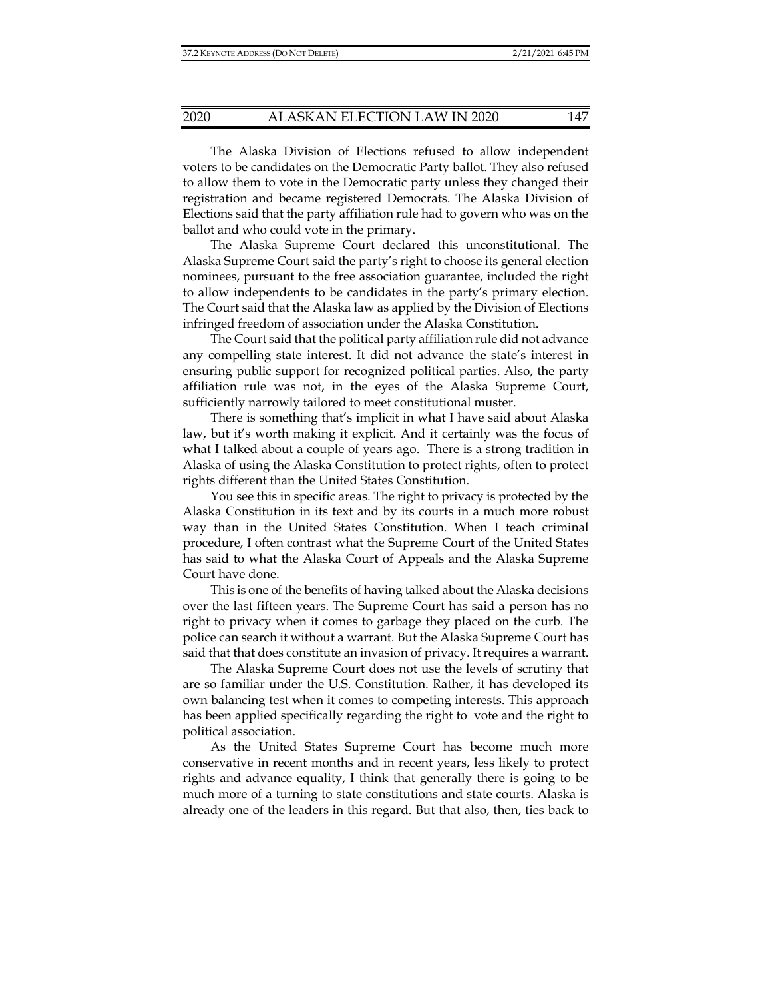The Alaska Division of Elections refused to allow independent voters to be candidates on the Democratic Party ballot. They also refused to allow them to vote in the Democratic party unless they changed their registration and became registered Democrats. The Alaska Division of Elections said that the party affiliation rule had to govern who was on the ballot and who could vote in the primary.

The Alaska Supreme Court declared this unconstitutional. The Alaska Supreme Court said the party's right to choose its general election nominees, pursuant to the free association guarantee, included the right to allow independents to be candidates in the party's primary election. The Court said that the Alaska law as applied by the Division of Elections infringed freedom of association under the Alaska Constitution.

The Court said that the political party affiliation rule did not advance any compelling state interest. It did not advance the state's interest in ensuring public support for recognized political parties. Also, the party affiliation rule was not, in the eyes of the Alaska Supreme Court, sufficiently narrowly tailored to meet constitutional muster.

There is something that's implicit in what I have said about Alaska law, but it's worth making it explicit. And it certainly was the focus of what I talked about a couple of years ago. There is a strong tradition in Alaska of using the Alaska Constitution to protect rights, often to protect rights different than the United States Constitution.

You see this in specific areas. The right to privacy is protected by the Alaska Constitution in its text and by its courts in a much more robust way than in the United States Constitution. When I teach criminal procedure, I often contrast what the Supreme Court of the United States has said to what the Alaska Court of Appeals and the Alaska Supreme Court have done.

This is one of the benefits of having talked about the Alaska decisions over the last fifteen years. The Supreme Court has said a person has no right to privacy when it comes to garbage they placed on the curb. The police can search it without a warrant. But the Alaska Supreme Court has said that that does constitute an invasion of privacy. It requires a warrant.

The Alaska Supreme Court does not use the levels of scrutiny that are so familiar under the U.S. Constitution. Rather, it has developed its own balancing test when it comes to competing interests. This approach has been applied specifically regarding the right to vote and the right to political association.

As the United States Supreme Court has become much more conservative in recent months and in recent years, less likely to protect rights and advance equality, I think that generally there is going to be much more of a turning to state constitutions and state courts. Alaska is already one of the leaders in this regard. But that also, then, ties back to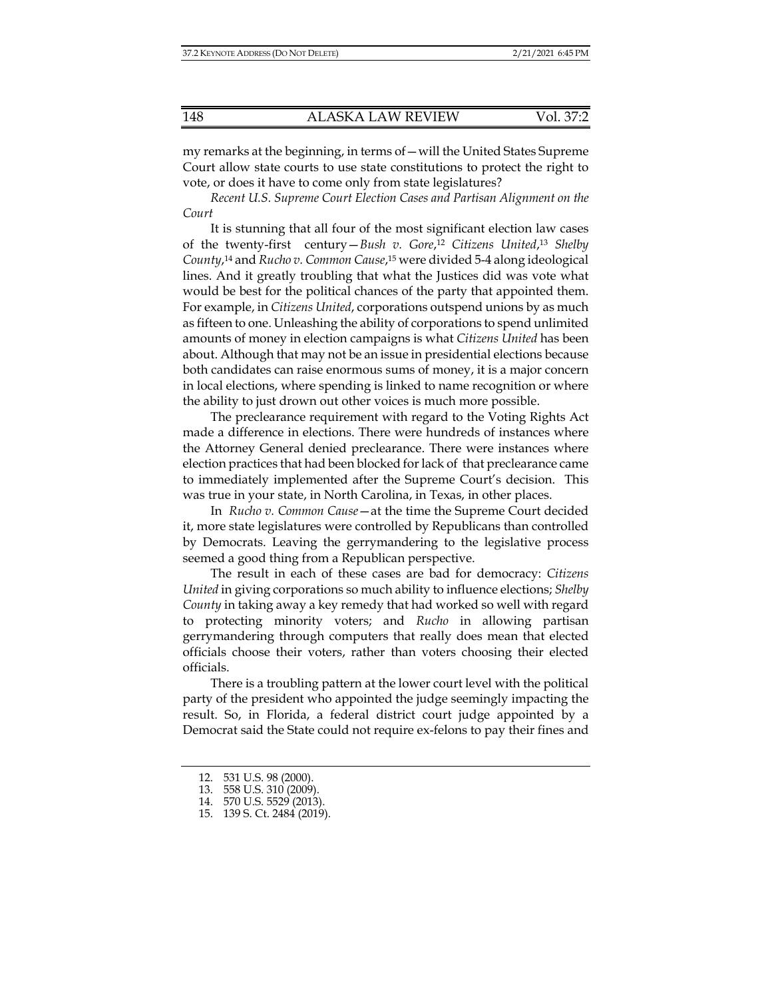my remarks at the beginning, in terms of—will the United States Supreme Court allow state courts to use state constitutions to protect the right to vote, or does it have to come only from state legislatures?

*Recent U.S. Supreme Court Election Cases and Partisan Alignment on the Court*

It is stunning that all four of the most significant election law cases of the twenty-first century—*Bush v. Gore*, <sup>12</sup> *Citizens United*, <sup>13</sup> *Shelby County*, 14 and *Rucho v. Common Cause*, 15 were divided 5-4 along ideological lines. And it greatly troubling that what the Justices did was vote what would be best for the political chances of the party that appointed them. For example, in *Citizens United*, corporations outspend unions by as much as fifteen to one. Unleashing the ability of corporations to spend unlimited amounts of money in election campaigns is what *Citizens United* has been about. Although that may not be an issue in presidential elections because both candidates can raise enormous sums of money, it is a major concern in local elections, where spending is linked to name recognition or where the ability to just drown out other voices is much more possible.

The preclearance requirement with regard to the Voting Rights Act made a difference in elections. There were hundreds of instances where the Attorney General denied preclearance. There were instances where election practices that had been blocked for lack of that preclearance came to immediately implemented after the Supreme Court's decision. This was true in your state, in North Carolina, in Texas, in other places.

 In *Rucho v. Common Cause*—at the time the Supreme Court decided it, more state legislatures were controlled by Republicans than controlled by Democrats. Leaving the gerrymandering to the legislative process seemed a good thing from a Republican perspective.

The result in each of these cases are bad for democracy: *Citizens United* in giving corporations so much ability to influence elections; *Shelby County* in taking away a key remedy that had worked so well with regard to protecting minority voters; and *Rucho* in allowing partisan gerrymandering through computers that really does mean that elected officials choose their voters, rather than voters choosing their elected officials.

There is a troubling pattern at the lower court level with the political party of the president who appointed the judge seemingly impacting the result. So, in Florida, a federal district court judge appointed by a Democrat said the State could not require ex-felons to pay their fines and

 <sup>12. 531</sup> U.S. 98 (2000).

 <sup>13. 558</sup> U.S. 310 (2009).

 <sup>14. 570</sup> U.S. 5529 (2013).

 <sup>15. 139</sup> S. Ct. 2484 (2019).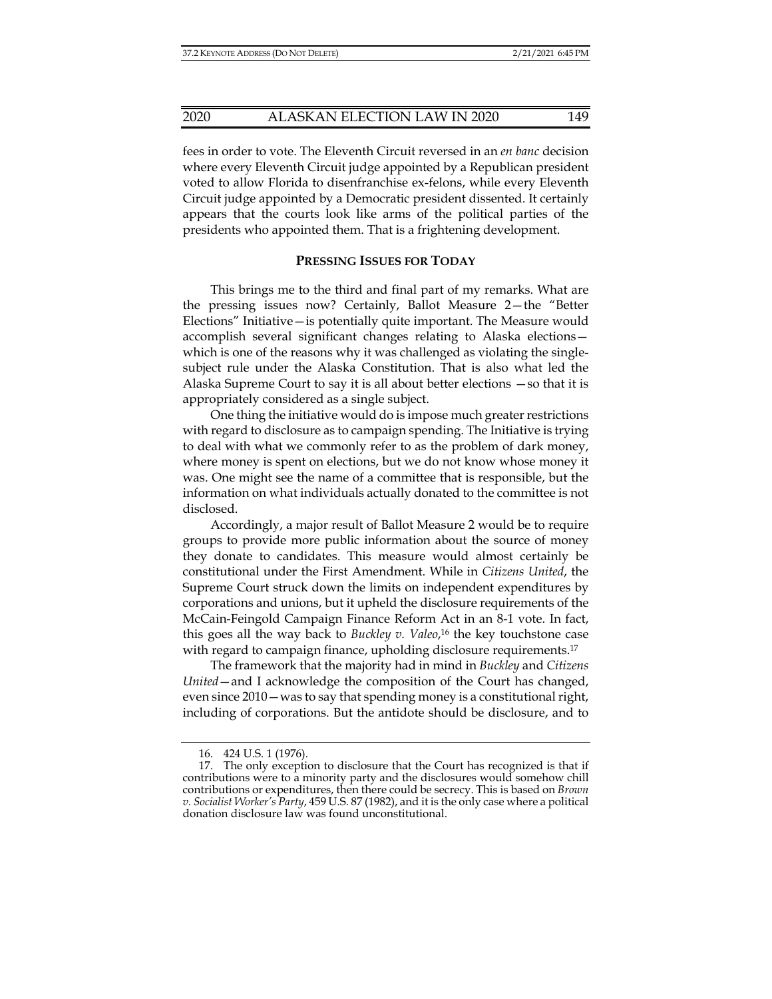fees in order to vote. The Eleventh Circuit reversed in an *en banc* decision where every Eleventh Circuit judge appointed by a Republican president voted to allow Florida to disenfranchise ex-felons, while every Eleventh Circuit judge appointed by a Democratic president dissented. It certainly appears that the courts look like arms of the political parties of the presidents who appointed them. That is a frightening development.

#### **PRESSING ISSUES FOR TODAY**

This brings me to the third and final part of my remarks. What are the pressing issues now? Certainly, Ballot Measure 2—the "Better Elections" Initiative—is potentially quite important. The Measure would accomplish several significant changes relating to Alaska elections which is one of the reasons why it was challenged as violating the singlesubject rule under the Alaska Constitution. That is also what led the Alaska Supreme Court to say it is all about better elections —so that it is appropriately considered as a single subject.

One thing the initiative would do is impose much greater restrictions with regard to disclosure as to campaign spending. The Initiative is trying to deal with what we commonly refer to as the problem of dark money, where money is spent on elections, but we do not know whose money it was. One might see the name of a committee that is responsible, but the information on what individuals actually donated to the committee is not disclosed.

Accordingly, a major result of Ballot Measure 2 would be to require groups to provide more public information about the source of money they donate to candidates. This measure would almost certainly be constitutional under the First Amendment. While in *Citizens United*, the Supreme Court struck down the limits on independent expenditures by corporations and unions, but it upheld the disclosure requirements of the McCain-Feingold Campaign Finance Reform Act in an 8-1 vote. In fact, this goes all the way back to *Buckley v. Valeo*, 16 the key touchstone case with regard to campaign finance, upholding disclosure requirements.<sup>17</sup>

The framework that the majority had in mind in *Buckley* and *Citizens United*—and I acknowledge the composition of the Court has changed, even since 2010—was to say that spending money is a constitutional right, including of corporations. But the antidote should be disclosure, and to

 <sup>16. 424</sup> U.S. 1 (1976).

 <sup>17.</sup> The only exception to disclosure that the Court has recognized is that if contributions were to a minority party and the disclosures would somehow chill contributions or expenditures, then there could be secrecy. This is based on *Brown v. Socialist Worker's Party*, 459 U.S. 87 (1982), and it is the only case where a political donation disclosure law was found unconstitutional.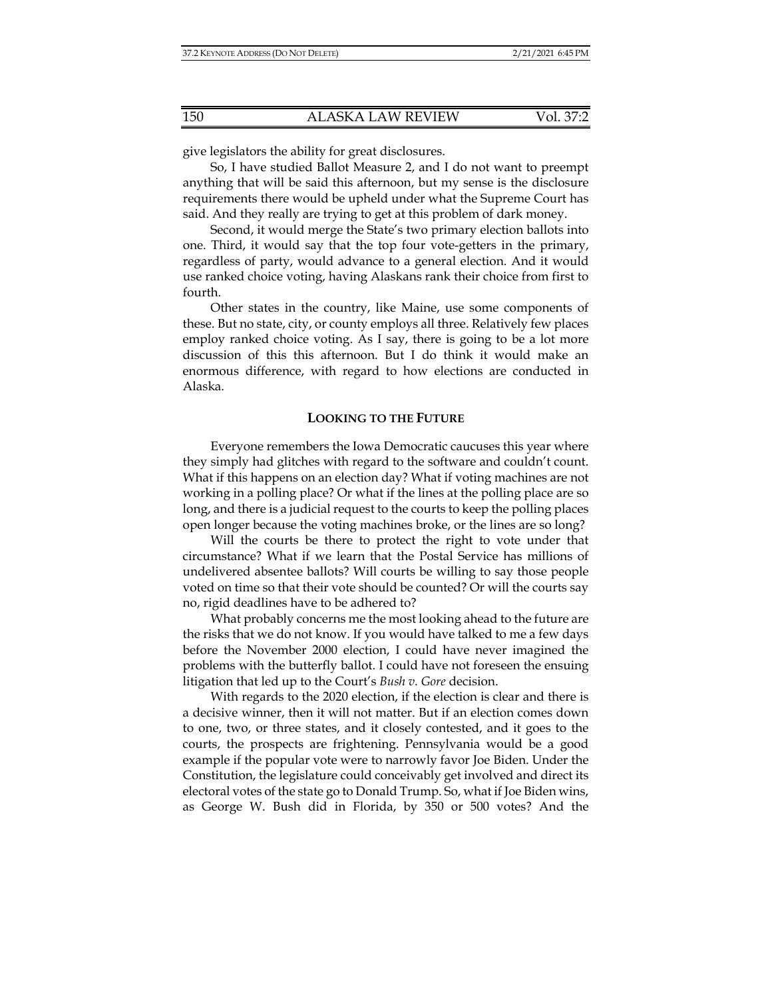give legislators the ability for great disclosures.

So, I have studied Ballot Measure 2, and I do not want to preempt anything that will be said this afternoon, but my sense is the disclosure requirements there would be upheld under what the Supreme Court has said. And they really are trying to get at this problem of dark money.

Second, it would merge the State's two primary election ballots into one. Third, it would say that the top four vote-getters in the primary, regardless of party, would advance to a general election. And it would use ranked choice voting, having Alaskans rank their choice from first to fourth.

Other states in the country, like Maine, use some components of these. But no state, city, or county employs all three. Relatively few places employ ranked choice voting. As I say, there is going to be a lot more discussion of this this afternoon. But I do think it would make an enormous difference, with regard to how elections are conducted in Alaska.

#### **LOOKING TO THE FUTURE**

Everyone remembers the Iowa Democratic caucuses this year where they simply had glitches with regard to the software and couldn't count. What if this happens on an election day? What if voting machines are not working in a polling place? Or what if the lines at the polling place are so long, and there is a judicial request to the courts to keep the polling places open longer because the voting machines broke, or the lines are so long?

Will the courts be there to protect the right to vote under that circumstance? What if we learn that the Postal Service has millions of undelivered absentee ballots? Will courts be willing to say those people voted on time so that their vote should be counted? Or will the courts say no, rigid deadlines have to be adhered to?

What probably concerns me the most looking ahead to the future are the risks that we do not know. If you would have talked to me a few days before the November 2000 election, I could have never imagined the problems with the butterfly ballot. I could have not foreseen the ensuing litigation that led up to the Court's *Bush v. Gore* decision.

With regards to the 2020 election, if the election is clear and there is a decisive winner, then it will not matter. But if an election comes down to one, two, or three states, and it closely contested, and it goes to the courts, the prospects are frightening. Pennsylvania would be a good example if the popular vote were to narrowly favor Joe Biden. Under the Constitution, the legislature could conceivably get involved and direct its electoral votes of the state go to Donald Trump. So, what if Joe Biden wins, as George W. Bush did in Florida, by 350 or 500 votes? And the